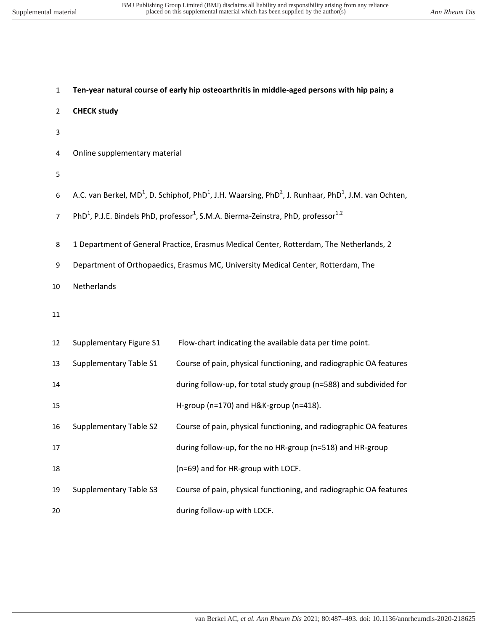| $\mathbf{1}$   | Ten-year natural course of early hip osteoarthritis in middle-aged persons with hip pain; a |                                                                                                                                                      |  |  |  |  |
|----------------|---------------------------------------------------------------------------------------------|------------------------------------------------------------------------------------------------------------------------------------------------------|--|--|--|--|
| $\overline{2}$ | <b>CHECK study</b>                                                                          |                                                                                                                                                      |  |  |  |  |
| 3              |                                                                                             |                                                                                                                                                      |  |  |  |  |
| 4              | Online supplementary material                                                               |                                                                                                                                                      |  |  |  |  |
| 5              |                                                                                             |                                                                                                                                                      |  |  |  |  |
| 6              |                                                                                             | A.C. van Berkel, MD <sup>1</sup> , D. Schiphof, PhD <sup>1</sup> , J.H. Waarsing, PhD <sup>2</sup> , J. Runhaar, PhD <sup>1</sup> , J.M. van Ochten, |  |  |  |  |
| $\overline{7}$ |                                                                                             | PhD <sup>1</sup> , P.J.E. Bindels PhD, professor <sup>1</sup> , S.M.A. Bierma-Zeinstra, PhD, professor <sup>1,2</sup>                                |  |  |  |  |
| 8              |                                                                                             | 1 Department of General Practice, Erasmus Medical Center, Rotterdam, The Netherlands, 2                                                              |  |  |  |  |
| 9              |                                                                                             | Department of Orthopaedics, Erasmus MC, University Medical Center, Rotterdam, The                                                                    |  |  |  |  |
| 10             | Netherlands                                                                                 |                                                                                                                                                      |  |  |  |  |
| 11             |                                                                                             |                                                                                                                                                      |  |  |  |  |
| 12             | Supplementary Figure S1                                                                     | Flow-chart indicating the available data per time point.                                                                                             |  |  |  |  |
| 13             | Supplementary Table S1                                                                      | Course of pain, physical functioning, and radiographic OA features                                                                                   |  |  |  |  |
| 14             |                                                                                             | during follow-up, for total study group (n=588) and subdivided for                                                                                   |  |  |  |  |
| 15             |                                                                                             | H-group (n=170) and H&K-group (n=418).                                                                                                               |  |  |  |  |
| 16             | <b>Supplementary Table S2</b>                                                               | Course of pain, physical functioning, and radiographic OA features                                                                                   |  |  |  |  |
| 17             |                                                                                             | during follow-up, for the no HR-group (n=518) and HR-group                                                                                           |  |  |  |  |
| 18             |                                                                                             | (n=69) and for HR-group with LOCF.                                                                                                                   |  |  |  |  |
| 19             | <b>Supplementary Table S3</b>                                                               | Course of pain, physical functioning, and radiographic OA features                                                                                   |  |  |  |  |
| 20             |                                                                                             | during follow-up with LOCF.                                                                                                                          |  |  |  |  |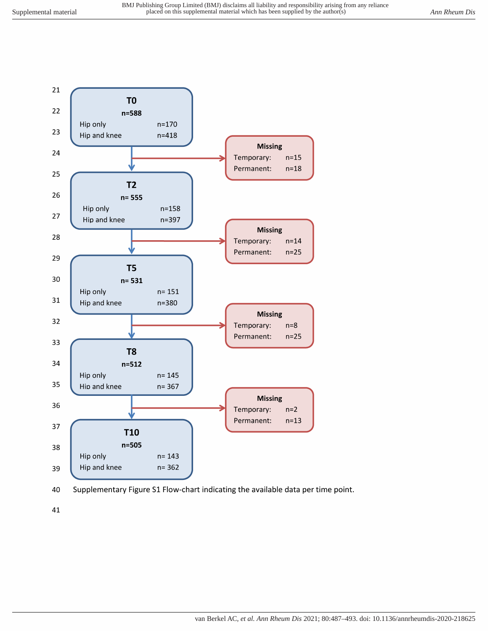



41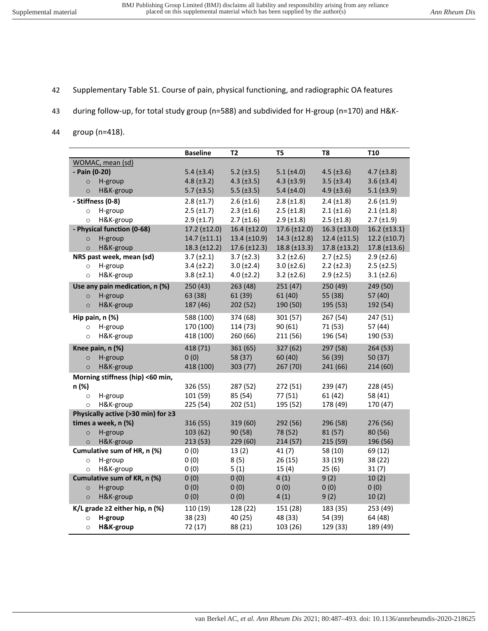- 42 Supplementary Table S1. Course of pain, physical functioning, and radiographic OA features
- 43 during follow-up, for total study group (n=588) and subdivided for H-group (n=170) and H&K-
- 44 group (n=418).

|                                                           | <b>Baseline</b>     | T <sub>2</sub>      | T <sub>5</sub>       | T <sub>8</sub>       | <b>T10</b>            |
|-----------------------------------------------------------|---------------------|---------------------|----------------------|----------------------|-----------------------|
| WOMAC, mean (sd)                                          |                     |                     |                      |                      |                       |
| - Pain (0-20)                                             | 5.4 (±3.4)          | $5.2$ ( $\pm 3.5$ ) | $5.1 (\pm 4.0)$      | $4.5$ ( $\pm 3.6$ )  | $4.7 (\pm 3.8)$       |
| H-group<br>$\circ$                                        | $4.8 (\pm 3.2)$     | $4.3 \ (\pm 3.5)$   | $4.3 \ (\pm 3.9)$    | $3.5$ ( $\pm 3.4$ )  | $3.6 (\pm 3.4)$       |
| H&K-group<br>$\circ$                                      | $5.7$ ( $\pm 3.5$ ) | $5.5$ ( $\pm 3.5$ ) | 5.4 $(\pm 4.0)$      | $4.9$ ( $\pm 3.6$ )  | $5.1 (\pm 3.9)$       |
| - Stiffness (0-8)                                         | $2.8 (\pm 1.7)$     | $2.6 \ (\pm 1.6)$   | $2.8 (\pm 1.8)$      | $2.4 (\pm 1.8)$      | $2.6 (\pm 1.9)$       |
| H-group<br>$\circ$                                        | $2.5$ ( $\pm$ 1.7)  | $2.3$ ( $\pm 1.6$ ) | $2.5$ ( $\pm$ 1.8)   | $2.1 (\pm 1.6)$      | $2.1 (\pm 1.8)$       |
| H&K-group<br>$\circ$                                      | $2.9$ ( $\pm$ 1.7)  | $2.7$ ( $\pm 1.6$ ) | $2.9$ ( $\pm 1.8$ )  | $2.5$ ( $\pm 1.8$ )  | $2.7$ ( $\pm$ 1.9)    |
| - Physical function (0-68)                                | 17.2 (±12.0)        | $16.4 \ (\pm 12.0)$ | 17.6 (±12.0)         | $16.3 \ (\pm 13.0)$  | $16.2 \ (\pm 13.1)$   |
| H-group<br>$\circ$                                        | 14.7 (±11.1)        | $13.4 \ (\pm 10.9)$ | $14.3$ ( $\pm$ 12.8) | $12.4$ ( $\pm$ 11.5) | $12.2$ ( $\pm 10.7$ ) |
| H&K-group<br>$\circ$                                      | $18.3$ (±12.2)      | $17.6 \ (\pm 12.3)$ | $18.8 \ (\pm 13.3)$  | 17.8 (±13.2)         | $17.8 \ (\pm 13.6)$   |
| NRS past week, mean (sd)                                  | $3.7 (\pm 2.1)$     | $3.7 (\pm 2.3)$     | $3.2 (\pm 2.6)$      | $2.7 (\pm 2.5)$      | $2.9$ ( $\pm 2.6$ )   |
| H-group<br>$\circ$                                        | $3.4 (\pm 2.2)$     | $3.0 (\pm 2.4)$     | $3.0 (\pm 2.6)$      | $2.2 (\pm 2.3)$      | $2.5$ ( $\pm 2.5$ )   |
| H&K-group<br>$\circ$                                      | $3.8 (\pm 2.1)$     | $4.0 (\pm 2.2)$     | $3.2 (\pm 2.6)$      | $2.9$ ( $\pm 2.5$ )  | $3.1 (\pm 2.6)$       |
| Use any pain medication, n (%)                            | 250 (43)            | 263 (48)            | 251(47)              | 250 (49)             | 249 (50)              |
| H-group<br>$\circ$                                        | 63 (38)             | 61 (39)             | 61(40)               | 55 (38)              | 57 (40)               |
| H&K-group<br>$\circ$                                      | 187 (46)            | 202 (52)            | 190 (50)             | 195 (53)             | 192 (54)              |
| Hip pain, n (%)                                           | 588 (100)           | 374 (68)            | 301 (57)             | 267 (54)             | 247 (51)              |
| H-group<br>$\circ$                                        | 170 (100)           | 114 (73)            | 90(61)               | 71 (53)              | 57 (44)               |
| H&K-group<br>$\circ$                                      | 418 (100)           | 260 (66)            | 211 (56)             | 196 (54)             | 190 (53)              |
| Knee pain, n (%)                                          | 418 (71)            | 361 (65)            | 327 (62)             | 297 (58)             | 264 (53)              |
| H-group<br>$\circ$                                        | 0(0)                | 58 (37)             | 60 (40)              | 56 (39)              | 50 (37)               |
| H&K-group<br>$\circ$                                      | 418 (100)           | 303 (77)            | 267 (70)             | 241 (66)             | 214 (60)              |
| Morning stiffness (hip) <60 min,                          |                     |                     |                      |                      |                       |
| n (%)                                                     | 326 (55)            | 287 (52)            | 272 (51)             | 239 (47)             | 228 (45)              |
| H-group<br>$\circ$                                        | 101 (59)            | 85 (54)             | 77 (51)              | 61(42)               | 58 (41)               |
| H&K-group<br>$\circ$                                      | 225 (54)            | 202 (51)            | 195 (52)             | 178 (49)             | 170 (47)              |
| Physically active (>30 min) for ≥3<br>times a week, n (%) | 316 (55)            | 319 (60)            | 292 (56)             | 296 (58)             | 276 (56)              |
| H-group<br>$\circ$                                        | 103 (62)            | 90 (58)             | 78 (52)              | 81 (57)              | 80 (56)               |
| H&K-group<br>$\circ$                                      | 213 (53)            | 229 (60)            | 214(57)              | 215 (59)             | 196 (56)              |
| Cumulative sum of HR, n (%)                               | 0(0)                | 13(2)               | 41(7)                | 58 (10)              | 69 (12)               |
| H-group<br>$\circ$                                        | 0(0)                | 8(5)                | 26(15)               | 33 (19)              | 38 (22)               |
| H&K-group<br>$\circ$                                      | 0(0)                | 5(1)                | 15(4)                | 25(6)                | 31(7)                 |
| Cumulative sum of KR, n (%)                               | 0(0)                | 0(0)                | 4(1)                 | 9(2)                 | 10(2)                 |
| H-group<br>$\circ$                                        | 0(0)                | 0(0)                | 0(0)                 | 0(0)                 | 0(0)                  |
| H&K-group<br>$\circ$                                      | 0(0)                | 0(0)                | 4(1)                 | 9(2)                 | 10(2)                 |
| K/L grade $\geq$ 2 either hip, n (%)                      | 110 (19)            | 128 (22)            | 151 (28)             | 183 (35)             | 253 (49)              |
| H-group<br>$\circ$                                        | 38 (23)             | 40 (25)             | 48 (33)              | 54 (39)              | 64 (48)               |
| H&K-group<br>$\circ$                                      | 72 (17)             | 88 (21)             | 103 (26)             | 129 (33)             | 189 (49)              |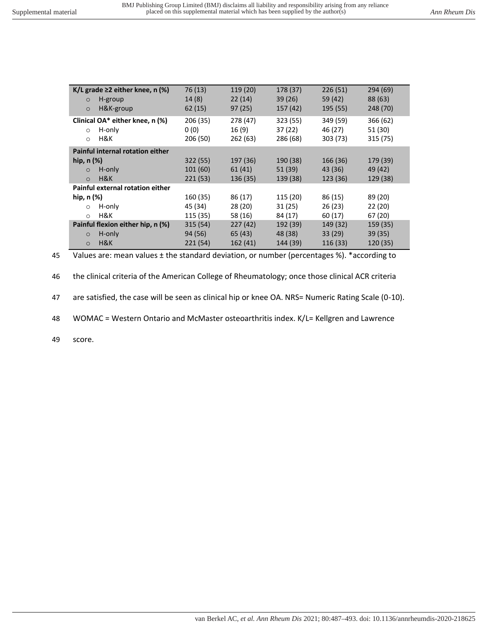| K/L grade $\geq$ 2 either knee, n (%)<br>H-group<br>$\circ$<br>H&K-group<br>$\circ$ | 76 (13)<br>14(8)<br>62(15)   | 119 (20)<br>22(14)<br>97(25) | 178 (37)<br>39(26)<br>157 (42) | 226(51)<br>59 (42)<br>195 (55)  | 294(69)<br>88 (63)<br>248 (70)  |
|-------------------------------------------------------------------------------------|------------------------------|------------------------------|--------------------------------|---------------------------------|---------------------------------|
| Clinical OA* either knee, n (%)<br>H-only<br>$\Omega$<br>H&K<br>$\circ$             | 206 (35)<br>0(0)<br>206 (50) | 278 (47)<br>16(9)<br>262(63) | 323 (55)<br>37(22)<br>286 (68) | 349 (59)<br>46 (27)<br>303 (73) | 366 (62)<br>51 (30)<br>315 (75) |
| Painful internal rotation either                                                    |                              |                              |                                |                                 |                                 |
| hip, $n$ $(\%)$                                                                     | 322 (55)                     | 197 (36)                     | 190 (38)                       | 166 (36)                        | 179 (39)                        |
| H-only<br>$\circ$                                                                   | 101(60)                      | 61(41)                       | 51 (39)                        | 43 (36)                         | 49 (42)                         |
| H&K<br>$\Omega$                                                                     | 221(53)                      | 136(35)                      | 139 (38)                       | 123 (36)                        | 129 (38)                        |
| Painful external rotation either                                                    |                              |                              |                                |                                 |                                 |
| hip, $n$ $(\%)$                                                                     | 160 (35)                     | 86 (17)                      | 115 (20)                       | 86 (15)                         | 89 (20)                         |
| H-only<br>$\circ$                                                                   | 45 (34)                      | 28(20)                       | 31(25)                         | 26(23)                          | 22 (20)                         |
| H&K<br>$\circ$                                                                      | 115 (35)                     | 58 (16)                      | 84 (17)                        | 60(17)                          | 67 (20)                         |
| Painful flexion either hip, n (%)                                                   | 315(54)                      | 227(42)                      | 192 (39)                       | 149 (32)                        | 159 (35)                        |
| H-only<br>$\circ$                                                                   | 94 (56)                      | 65(43)                       | 48 (38)                        | 33 (29)                         | 39(35)                          |
| H&K<br>$\circ$                                                                      | 221(54)                      | 162(41)                      | 144 (39)                       | 116 (33)                        | 120 (35)                        |

45 Values are: mean values ± the standard deviation, or number (percentages %). \*according to

46 the clinical criteria of the American College of Rheumatology; once those clinical ACR criteria

47 are satisfied, the case will be seen as clinical hip or knee OA. NRS= Numeric Rating Scale (0-10).

48 WOMAC = Western Ontario and McMaster osteoarthritis index. K/L= Kellgren and Lawrence

49 score.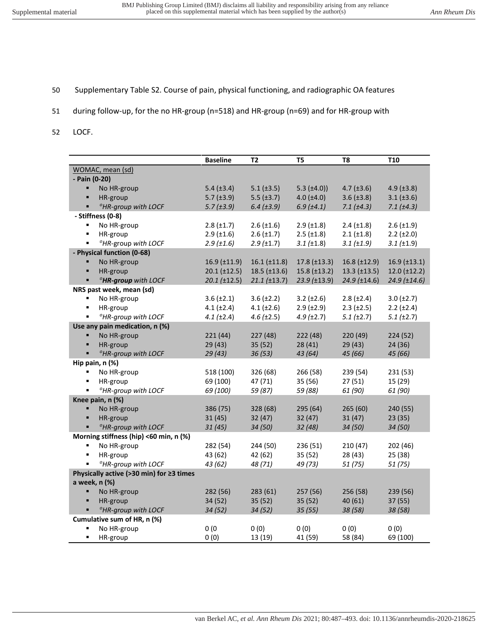- 50 Supplementary Table S2. Course of pain, physical functioning, and radiographic OA features
- 51 during follow-up, for the no HR-group (n=518) and HR-group (n=69) and for HR-group with
- 52 LOCF.

|                                          |                                        | <b>Baseline</b>      | T2                  | T5                  | T <sub>8</sub>       | <b>T10</b>          |  |
|------------------------------------------|----------------------------------------|----------------------|---------------------|---------------------|----------------------|---------------------|--|
|                                          | WOMAC, mean (sd)                       |                      |                     |                     |                      |                     |  |
| - Pain (0-20)                            |                                        |                      |                     |                     |                      |                     |  |
| ٠                                        | No HR-group                            | 5.4 $(\pm 3.4)$      | $5.1$ ( $\pm 3.5$ ) | $5.3 \ (\pm 4.0)$   | $4.7 \ (\pm 3.6)$    | $4.9$ ( $\pm 3.8$ ) |  |
| ٠                                        | HR-group                               | $5.7$ ( $\pm 3.9$ )  | $5.5$ ( $\pm 3.7$ ) | $4.0 (\pm 4.0)$     | $3.6 (\pm 3.8)$      | $3.1 (\pm 3.6)$     |  |
| ٠                                        | *HR-group with LOCF                    | 5.7(±3.9)            | $6.4$ ( $\pm 3.9$ ) | 6.9(±4.1)           | $7.1 (\pm 4.3)$      | 7.1 (±4.3)          |  |
|                                          | - Stiffness (0-8)                      |                      |                     |                     |                      |                     |  |
| $\blacksquare$                           | No HR-group                            | $2.8 \ (\pm 1.7)$    | $2.6 \ (\pm 1.6)$   | $2.9$ ( $\pm 1.8$ ) | $2.4 \ (\pm 1.8)$    | $2.6 \ (\pm 1.9)$   |  |
| ٠                                        | HR-group                               | $2.9$ ( $\pm 1.6$ )  | $2.6 \, (\pm 1.7)$  | $2.5$ ( $\pm 1.8$ ) | $2.1 (\pm 1.8)$      | $2.2 \ (\pm 2.0)$   |  |
| ٠                                        | *HR-group with LOCF                    | 2.9(±1.6)            | 2.9(±1.7)           | $3.1 (\pm 1.8)$     | $3.1 (\pm 1.9)$      | 3.1 (±1.9)          |  |
|                                          | - Physical function (0-68)             |                      |                     |                     |                      |                     |  |
| ٠                                        | No HR-group                            | $16.9$ ( $\pm$ 11.9) | $16.1 (\pm 11.8)$   | $17.8 \ (\pm 13.3)$ | $16.8 \ (\pm 12.9)$  | $16.9$ (±13.1)      |  |
| ٠                                        | HR-group                               | $20.1 (\pm 12.5)$    | $18.5$ (±13.6)      | $15.8 \ (\pm 13.2)$ | $13.3$ ( $\pm$ 13.5) | $12.0 (\pm 12.2)$   |  |
|                                          | <sup>#</sup> HR-group with LOCF        | $20.1$ ( $\pm$ 12.5) | $21.1 (\pm 13.7)$   | $23.9$ (±13.9)      | $24.9$ (±14.6)       | 24.9 (±14.6)        |  |
|                                          | NRS past week, mean (sd)               |                      |                     |                     |                      |                     |  |
| ٠                                        | No HR-group                            | $3.6 \ (\pm 2.1)$    | $3.6 \, (\pm 2.2)$  | $3.2 \ (\pm 2.6)$   | $2.8 (\pm 2.4)$      | $3.0 (\pm 2.7)$     |  |
| ٠                                        | HR-group                               | $4.1 (\pm 2.4)$      | $4.1 (\pm 2.6)$     | $2.9$ ( $\pm 2.9$ ) | $2.3$ ( $\pm 2.5$ )  | $2.2 (\pm 2.4)$     |  |
| ٠                                        | <sup>*</sup> HR-group with LOCF        | 4.1 $(\pm 2.4)$      | $4.6 \ (\pm 2.5)$   | $4.9$ ( $\pm 2.7$ ) | $5.1(\pm 2.7)$       | $5.1$ ( $\pm 2.7$ ) |  |
|                                          | Use any pain medication, n (%)         |                      |                     |                     |                      |                     |  |
| ٠                                        | No HR-group                            | 221(44)              | 227 (48)            | 222 (48)            | 220 (49)             | 224 (52)            |  |
| ٠                                        | HR-group                               | 29(43)               | 35(52)              | 28(41)              | 29(43)               | 24 (36)             |  |
| ٠                                        | <sup>#</sup> HR-group with LOCF        | 29(43)               | 36(53)              | 43(64)              | 45 (66)              | 45 (66)             |  |
|                                          | Hip pain, n (%)                        |                      |                     |                     |                      |                     |  |
| ٠                                        | No HR-group                            | 518 (100)            | 326 (68)            | 266 (58)            | 239 (54)             | 231 (53)            |  |
| ٠                                        | HR-group                               | 69 (100)             | 47 (71)             | 35 (56)             | 27(51)               | 15 (29)             |  |
| ٠                                        | <sup>*</sup> HR-group with LOCF        | 69 (100)             | 59 (87)             | 59 (88)             | 61 (90)              | 61 (90)             |  |
|                                          | Knee pain, n (%)                       |                      |                     |                     |                      |                     |  |
| ٠                                        | No HR-group                            | 386 (75)             | 328 (68)            | 295 (64)            | 265(60)              | 240 (55)            |  |
| ٠                                        | HR-group                               | 31(45)               | 32(47)              | 32(47)              | 31(47)               | 23(35)              |  |
| $\blacksquare$                           | <sup>*</sup> HR-group with LOCF        | 31(45)               | 34 (50)             | 32(48)              | 34 (50)              | 34 (50)             |  |
|                                          | Morning stiffness (hip) <60 min, n (%) |                      |                     |                     |                      |                     |  |
| ٠                                        | No HR-group                            | 282 (54)             | 244 (50)            | 236 (51)            | 210(47)              | 202 (46)            |  |
| ٠                                        | HR-group                               | 43 (62)              | 42 (62)             | 35(52)              | 28 (43)              | 25(38)              |  |
| ٠                                        | <sup>*</sup> HR-group with LOCF        | 43 (62)              | 48 (71)             | 49 (73)             | 51(75)               | 51(75)              |  |
| Physically active (>30 min) for ≥3 times |                                        |                      |                     |                     |                      |                     |  |
|                                          | a week, n (%)                          |                      |                     |                     |                      |                     |  |
| ٠                                        | No HR-group                            | 282 (56)             | 283 (61)            | 257(56)             | 256 (58)             | 239 (56)            |  |
| ٠                                        | HR-group                               | 34 (52)              | 35(52)              | 35(52)              | 40(61)               | 37 (55)             |  |
|                                          | <sup>#</sup> HR-group with LOCF        | 34(52)               | 34(52)              | 35(55)              | 38(58)               | 38 (58)             |  |
|                                          | Cumulative sum of HR, n (%)            |                      |                     |                     |                      |                     |  |
|                                          | No HR-group                            | 0(0)                 | 0(0)                | 0(0)                | 0(0)                 | 0(0)                |  |
| ٠                                        | HR-group                               | 0(0)                 | 13 (19)             | 41 (59)             | 58 (84)              | 69 (100)            |  |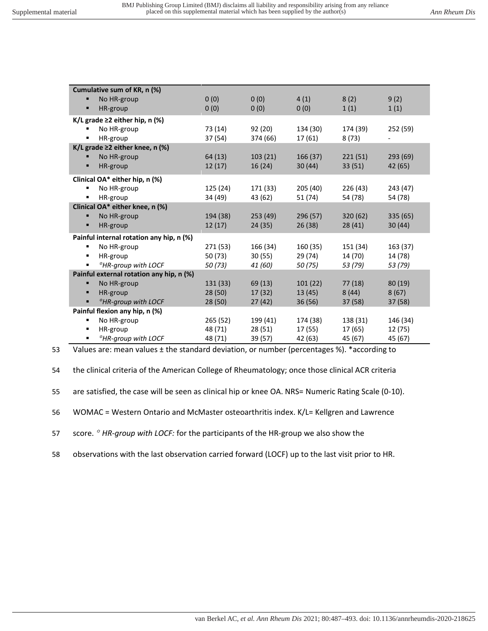| Cumulative sum of KR, n (%)     |                                          |          |          |          |          |          |  |  |  |
|---------------------------------|------------------------------------------|----------|----------|----------|----------|----------|--|--|--|
| п                               | No HR-group                              | 0(0)     | 0(0)     | 4(1)     | 8(2)     | 9(2)     |  |  |  |
| п                               | HR-group                                 | 0(0)     | 0(0)     | 0(0)     | 1(1)     | 1(1)     |  |  |  |
|                                 | K/L grade $\geq$ 2 either hip, n (%)     |          |          |          |          |          |  |  |  |
| ٠                               | No HR-group                              | 73 (14)  | 92(20)   | 134 (30) | 174 (39) | 252 (59) |  |  |  |
|                                 | HR-group                                 | 37 (54)  | 374 (66) | 17 (61)  | 8(73)    |          |  |  |  |
|                                 | K/L grade $\geq$ 2 either knee, n (%)    |          |          |          |          |          |  |  |  |
| п                               | No HR-group                              | 64 (13)  | 103(21)  | 166(37)  | 221(51)  | 293(69)  |  |  |  |
| п                               | HR-group                                 | 12(17)   | 16(24)   | 30(44)   | 33(51)   | 42 (65)  |  |  |  |
|                                 | Clinical OA* either hip, n (%)           |          |          |          |          |          |  |  |  |
| ٠                               | No HR-group                              | 125 (24) | 171 (33) | 205 (40) | 226 (43) | 243 (47) |  |  |  |
| ٠                               | HR-group                                 | 34 (49)  | 43 (62)  | 51 (74)  | 54 (78)  | 54 (78)  |  |  |  |
| Clinical OA* either knee, n (%) |                                          |          |          |          |          |          |  |  |  |
| п                               | No HR-group                              | 194 (38) | 253(49)  | 296 (57) | 320 (62) | 335 (65) |  |  |  |
| п                               | HR-group                                 | 12(17)   | 24(35)   | 26(38)   | 28 (41)  | 30(44)   |  |  |  |
|                                 | Painful internal rotation any hip, n (%) |          |          |          |          |          |  |  |  |
| ٠                               | No HR-group                              | 271 (53) | 166 (34) | 160 (35) | 151 (34) | 163 (37) |  |  |  |
| ٠                               | HR-group                                 | 50 (73)  | 30(55)   | 29 (74)  | 14 (70)  | 14 (78)  |  |  |  |
| ٠                               | *HR-group with LOCF                      | 50(73)   | 41 (60)  | 50 (75)  | 53 (79)  | 53 (79)  |  |  |  |
|                                 | Painful external rotation any hip, n (%) |          |          |          |          |          |  |  |  |
| п                               | No HR-group                              | 131 (33) | 69(13)   | 101(22)  | 77(18)   | 80(19)   |  |  |  |
| п                               | HR-group                                 | 28(50)   | 17(32)   | 13(45)   | 8(44)    | 8(67)    |  |  |  |
| п                               | <sup>*</sup> HR-group with LOCF          | 28(50)   | 27(42)   | 36(56)   | 37(58)   | 37(58)   |  |  |  |
| Painful flexion any hip, n (%)  |                                          |          |          |          |          |          |  |  |  |
| ٠                               | No HR-group                              | 265 (52) | 199 (41) | 174 (38) | 138 (31) | 146 (34) |  |  |  |
| ٠                               | HR-group                                 | 48 (71)  | 28(51)   | 17 (55)  | 17 (65)  | 12 (75)  |  |  |  |
| ٠                               | <sup>*</sup> HR-aroup with LOCF          | 48 (71)  | 39 (57)  | 42 (63)  | 45 (67)  | 45 (67)  |  |  |  |

53 Values are: mean values ± the standard deviation, or number (percentages %). \*according to

54 the clinical criteria of the American College of Rheumatology; once those clinical ACR criteria

55 are satisfied, the case will be seen as clinical hip or knee OA. NRS= Numeric Rating Scale (0-10).

56 WOMAC = Western Ontario and McMaster osteoarthritis index. K/L= Kellgren and Lawrence

57 score. <sup>*a*</sup> HR-group with LOCF: for the participants of the HR-group we also show the

58 observations with the last observation carried forward (LOCF) up to the last visit prior to HR.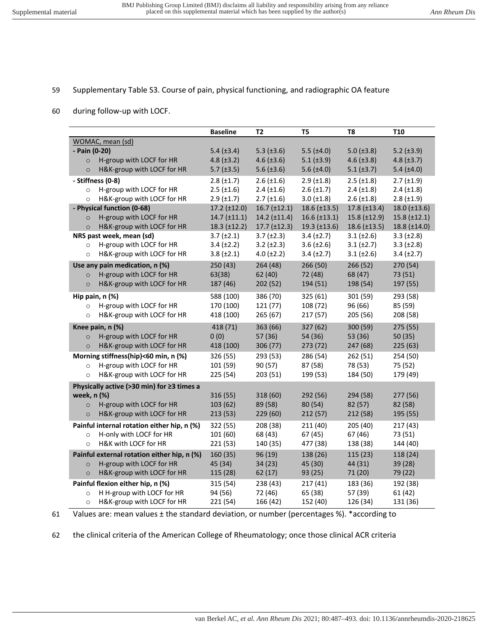## 59 Supplementary Table S3. Course of pain, physical functioning, and radiographic OA feature

60 during follow-up with LOCF.

|                                             | <b>Baseline</b>      | T <sub>2</sub>             | T <sub>5</sub>       | T8                  | T10                 |
|---------------------------------------------|----------------------|----------------------------|----------------------|---------------------|---------------------|
| WOMAC, mean (sd)                            |                      |                            |                      |                     |                     |
| - Pain (0-20)                               | $5.4$ ( $\pm 3.4$ )  | 5.3 $(\pm 3.6)$            | $5.5$ ( $\pm 4.0$ )  | $5.0$ ( $\pm 3.8$ ) | $5.2$ ( $\pm 3.9$ ) |
| H-group with LOCF for HR<br>$\circ$         | 4.8 $(\pm 3.2)$      | $4.6 \ (\pm 3.6)$          | $5.1 (\pm 3.9)$      | $4.6 \ (\pm 3.8)$   | $4.8 (\pm 3.7)$     |
| H&K-group with LOCF for HR<br>$\circ$       | $5.7$ ( $\pm 3.5$ )  | $5.6 \ (\pm 3.6)$          | $5.6 (\pm 4.0)$      | $5.1 (\pm 3.7)$     | $5.4 (\pm4.0)$      |
| - Stiffness (0-8)                           | $2.8 \ (\pm 1.7)$    | $2.6 \ (\pm 1.6)$          | $2.9$ ( $\pm 1.8$ )  | $2.5$ ( $\pm 1.8$ ) | $2.7 (\pm 1.9)$     |
| H-group with LOCF for HR<br>$\circ$         | $2.5$ ( $\pm 1.6$ )  | $2.4$ ( $\pm 1.6$ )        | $2.6 (\pm 1.7)$      | $2.4$ ( $\pm 1.8$ ) | $2.4$ ( $\pm 1.8$ ) |
| H&K-group with LOCF for HR<br>$\circ$       | $2.9$ ( $\pm$ 1.7)   | $2.7 (\pm 1.6)$            | $3.0 (\pm 1.8)$      | $2.6 \ (\pm 1.8)$   | $2.8 (\pm 1.9)$     |
| - Physical function (0-68)                  | $17.2$ ( $\pm$ 12.0) | $16.7 (\pm 12.1)$          | $18.6 \, (\pm 13.5)$ | $17.8 \ (\pm 13.4)$ | $18.0 (\pm 13.6)$   |
| H-group with LOCF for HR<br>$\circ$         | 14.7 (±11.1)         | $14.2$ ( $\pm$ 11.4)       | $16.6 \ (\pm 13.1)$  | $15.8 \ (\pm 12.9)$ | $15.8 \ (\pm 12.1)$ |
| H&K-group with LOCF for HR<br>$\circ$       | $18.3$ ( $\pm$ 12.2) | $17.7 \text{ } (\pm 12.3)$ | $19.3 \ (\pm 13.6)$  | $18.6 \ (\pm 13.5)$ | 18.8 (±14.0)        |
| NRS past week, mean (sd)                    | $3.7 (\pm 2.1)$      | $3.7 (\pm 2.3)$            | $3.4 (\pm 2.7)$      | $3.1 (\pm 2.6)$     | $3.3 \ (\pm 2.8)$   |
| H-group with LOCF for HR<br>$\circ$         | $3.4 (\pm 2.2)$      | $3.2 \ (\pm 2.3)$          | $3.6 \ (\pm 2.6)$    | $3.1 (\pm 2.7)$     | $3.3 \ (\pm 2.8)$   |
| H&K-group with LOCF for HR<br>$\circ$       | $3.8 (\pm 2.1)$      | $4.0 (\pm 2.2)$            | $3.4 (\pm 2.7)$      | $3.1 (\pm 2.6)$     | $3.4 (\pm 2.7)$     |
| Use any pain medication, n (%)              | 250 (43)             | 264 (48)                   | 266 (50)             | 266 (52)            | 270 (54)            |
| H-group with LOCF for HR<br>$\circ$         | 63(38)               | 62 (40)                    | 72 (48)              | 68 (47)             | 73 (51)             |
| H&K-group with LOCF for HR<br>$\circ$       | 187 (46)             | 202 (52)                   | 194 (51)             | 198 (54)            | 197 (55)            |
| Hip pain, n (%)                             | 588 (100)            | 386 (70)                   | 325 (61)             | 301 (59)            | 293 (58)            |
| H-group with LOCF for HR<br>$\circ$         | 170 (100)            | 121(77)                    | 108 (72)             | 96 (66)             | 85 (59)             |
| H&K-group with LOCF for HR<br>$\circ$       | 418 (100)            | 265(67)                    | 217 (57)             | 205 (56)            | 208 (58)            |
| Knee pain, n (%)                            | 418 (71)             | 363 (66)                   | 327 (62)             | 300 (59)            | 275 (55)            |
| H-group with LOCF for HR<br>$\circ$         | 0(0)                 | 57 (36)                    | 54 (36)              | 53 (36)             | 50(35)              |
| H&K-group with LOCF for HR<br>$\circ$       | 418 (100)            | 306 (77)                   | 273 (72)             | 247 (68)            | 225(63)             |
| Morning stiffness(hip)<60 min, n (%)        | 326 (55)             | 293 (53)                   | 286 (54)             | 262 (51)            | 254 (50)            |
| H-group with LOCF for HR<br>$\circ$         | 101 (59)             | 90(57)                     | 87 (58)              | 78 (53)             | 75 (52)             |
| H&K-group with LOCF for HR<br>$\circ$       | 225 (54)             | 203 (51)                   | 199 (53)             | 184 (50)            | 179 (49)            |
| Physically active (>30 min) for ≥3 times a  |                      |                            |                      |                     |                     |
| week, n (%)                                 | 316 (55)             | 318 (60)                   | 292 (56)             | 294 (58)            | 277 (56)            |
| H-group with LOCF for HR<br>$\circ$         | 103 (62)             | 89 (58)                    | 80 (54)              | 82 (57)             | 82 (58)             |
| H&K-group with LOCF for HR<br>$\circ$       | 213(53)              | 229 (60)                   | 212(57)              | 212 (58)            | 195 (55)            |
| Painful internal rotation either hip, n (%) | 322 (55)             | 208 (38)                   | 211 (40)             | 205 (40)            | 217(43)             |
| H-only with LOCF for HR<br>$\circ$          | 101 (60)             | 68 (43)                    | 67(45)               | 67 (46)             | 73 (51)             |
| H&K with LOCF for HR<br>$\circ$             | 221 (53)             | 140 (35)                   | 477 (38)             | 138 (38)            | 144 (40)            |
| Painful external rotation either hip, n (%) | 160 (35)             | 96 (19)                    | 138 (26)             | 115 (23)            | 118 (24)            |
| H-group with LOCF for HR<br>$\circ$         | 45 (34)              | 34(23)                     | 45 (30)              | 44 (31)             | 39 (28)             |
| H&K-group with LOCF for HR<br>$\circ$       | 115 (28)             | 62(17)                     | 93(25)               | 71 (20)             | 79 (22)             |
| Painful flexion either hip, n (%)           | 315 (54)             | 238 (43)                   | 217(41)              | 183 (36)            | 192 (38)            |
| H H-group with LOCF for HR<br>$\circ$       | 94 (56)              | 72 (46)                    | 65 (38)              | 57 (39)             | 61(42)              |
| H&K-group with LOCF for HR<br>$\circ$       | 221 (54)             | 166 (42)                   | 152 (40)             | 126 (34)            | 131 (36)            |

<sup>61</sup> Values are: mean values ± the standard deviation, or number (percentages %). \*according to

62 the clinical criteria of the American College of Rheumatology; once those clinical ACR criteria